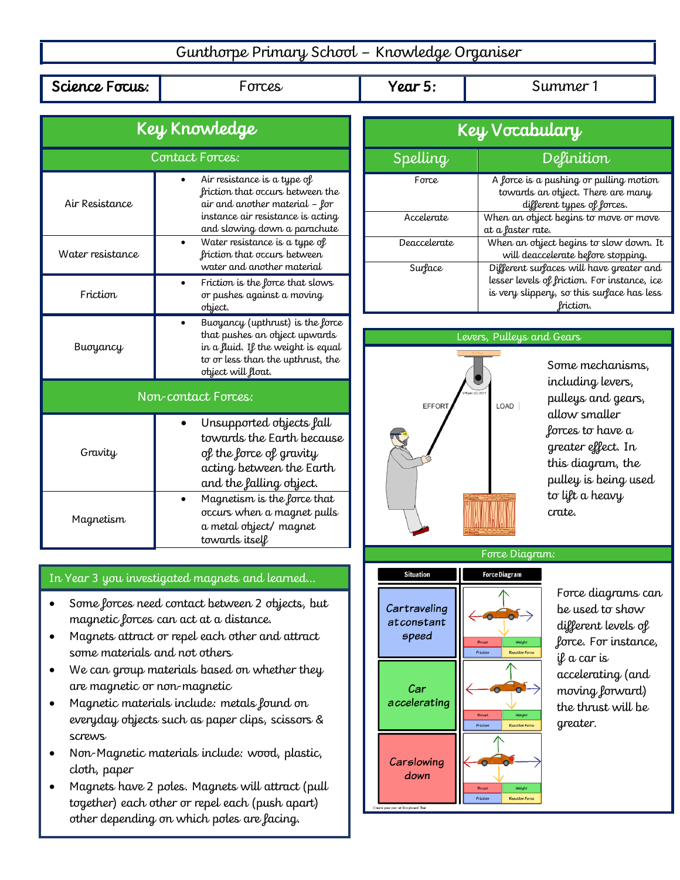## Gunthorpe Primary School – Knowledge Organiser

Science Focus:  $\parallel$  Forces  $\parallel$  Year 5:  $\parallel$  Summer 1

| Key Knowledge       |                                                                                                                                                                        |
|---------------------|------------------------------------------------------------------------------------------------------------------------------------------------------------------------|
| Contact Forces:     |                                                                                                                                                                        |
| Air Resistance      | Air resistance is a type of<br>friction that occurs between the<br>air and another material – for<br>instance air resistance is acting<br>and slowing down a parachute |
| Water resistance    | Water resistance is a type of<br>friction that occurs between<br>water and another material                                                                            |
| Friction            | Friction is the force that slows<br>or pushes against a moving<br>object.                                                                                              |
| Buoyancy            | Buoyancy (upthrust) is the force<br>that pushes an object upwards<br>in a fluid. If the weight is equal<br>to or less than the upthrust, the<br>object will float.     |
| Non-contact Forces: |                                                                                                                                                                        |
| Gravity             | Unsupported objects fall<br>towards the Earth because<br>of the force of gravity<br>acting between the Earth<br>and the falling object.                                |
| Magnetism           | Magnetism is the force that<br>occurs when a magnet pulls<br>a metal object/magnet<br>towards itsell                                                                   |

## In Year 3 you investigated magnets and learned…

- Some forces need contact between 2 objects, but magnetic forces can act at a distance.
- Magnets attract or repel each other and attract some materials and not others
- We can group materials based on whether they are magnetic or non-magnetic
- Magnetic materials include: metals found on everyday objects such as paper clips, scissors & screws
- Non-Magnetic materials include: wood, plastic, cloth, paper
- Magnets have 2 poles. Magnets will attract (pull together) each other or repel each (push apart) other depending on which poles are facing.

| Key Vocabulary  |                                                                                                                                                     |
|-----------------|-----------------------------------------------------------------------------------------------------------------------------------------------------|
| <b>Spelling</b> | Definition                                                                                                                                          |
| Force           | A force is a pushing or pulling motion<br>towards an object. There are many<br>different types of forces.                                           |
| Accelerate      | When an object begins to move or move<br>at a faster rate.                                                                                          |
| Deaccelerate    | When an object begins to slow down. It<br>will deaccelerate before stopping.                                                                        |
| Surface         | Different surfaces will have greater and<br>lesser levels of friction. For instance, ice<br>is very slippery, so this surface has less<br>lriction. |

## Levers, Pulleys and Gears



Some mechanisms, including levers, pulleys and gears, allow smaller forces to have a greater effect. In this diagram, the pulley is being used to lift a heavy crate.



Force diagrams can be used to show different levels of force. For instance, if a car is accelerating (and moving forward) the thrust will be greater.